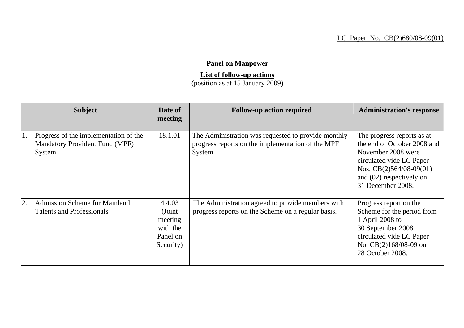## LC Paper No. CB(2)680/08-09(01)

## **Panel on Manpower**

## **List of follow-up actions**

(position as at 15 January 2009)

|    | <b>Subject</b>                                                                    | Date of<br>meeting                                               | <b>Follow-up action required</b>                                                                                    | <b>Administration's response</b>                                                                                                                                                            |
|----|-----------------------------------------------------------------------------------|------------------------------------------------------------------|---------------------------------------------------------------------------------------------------------------------|---------------------------------------------------------------------------------------------------------------------------------------------------------------------------------------------|
| 1. | Progress of the implementation of the<br>Mandatory Provident Fund (MPF)<br>System | 18.1.01                                                          | The Administration was requested to provide monthly<br>progress reports on the implementation of the MPF<br>System. | The progress reports as at<br>the end of October 2008 and<br>November 2008 were<br>circulated vide LC Paper<br>Nos. $CB(2)564/08-09(01)$<br>and $(02)$ respectively on<br>31 December 2008. |
| 2. | <b>Admission Scheme for Mainland</b><br><b>Talents and Professionals</b>          | 4.4.03<br>(Joint<br>meeting<br>with the<br>Panel on<br>Security) | The Administration agreed to provide members with<br>progress reports on the Scheme on a regular basis.             | Progress report on the<br>Scheme for the period from<br>1 April 2008 to<br>30 September 2008<br>circulated vide LC Paper<br>No. CB(2)168/08-09 on<br>28 October 2008.                       |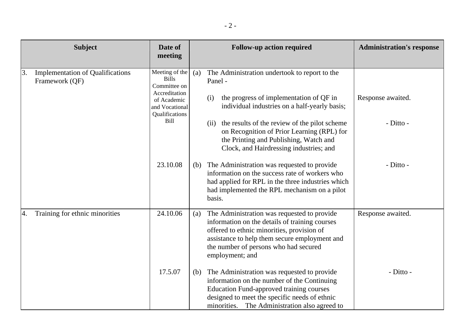|    | <b>Subject</b>                                            | Date of<br>meeting                                                                                                                |     | <b>Follow-up action required</b>                                                                                                                                                                                                                         | <b>Administration's response</b> |
|----|-----------------------------------------------------------|-----------------------------------------------------------------------------------------------------------------------------------|-----|----------------------------------------------------------------------------------------------------------------------------------------------------------------------------------------------------------------------------------------------------------|----------------------------------|
| 3. | <b>Implementation of Qualifications</b><br>Framework (QF) | Meeting of the<br><b>Bills</b><br>Committee on<br>Accreditation<br>of Academic<br>and Vocational<br>Qualifications<br><b>Bill</b> | (a) | The Administration undertook to report to the<br>Panel -<br>the progress of implementation of QF in<br>(i)<br>individual industries on a half-yearly basis;                                                                                              | Response awaited.                |
|    |                                                           |                                                                                                                                   |     | the results of the review of the pilot scheme<br>(ii)<br>on Recognition of Prior Learning (RPL) for<br>the Printing and Publishing, Watch and<br>Clock, and Hairdressing industries; and                                                                 | - Ditto -                        |
|    |                                                           | 23.10.08                                                                                                                          | (b) | The Administration was requested to provide<br>information on the success rate of workers who<br>had applied for RPL in the three industries which<br>had implemented the RPL mechanism on a pilot<br>basis.                                             | - Ditto -                        |
| 4. | Training for ethnic minorities                            | 24.10.06                                                                                                                          | (a) | The Administration was requested to provide<br>information on the details of training courses<br>offered to ethnic minorities, provision of<br>assistance to help them secure employment and<br>the number of persons who had secured<br>employment; and | Response awaited.                |
|    |                                                           | 17.5.07                                                                                                                           | (b) | The Administration was requested to provide<br>information on the number of the Continuing<br><b>Education Fund-approved training courses</b><br>designed to meet the specific needs of ethnic<br>minorities. The Administration also agreed to          | - Ditto -                        |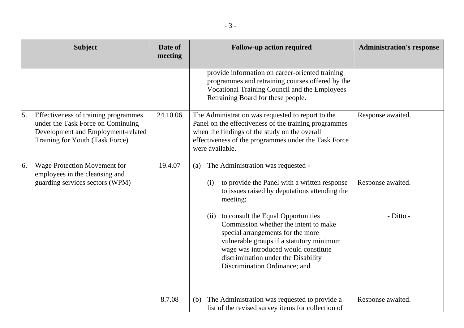|    | <b>Subject</b>                                                                                                                                      | Date of<br>meeting | <b>Follow-up action required</b><br><b>Administration's response</b>                                                                                                                                                                                                                              |  |
|----|-----------------------------------------------------------------------------------------------------------------------------------------------------|--------------------|---------------------------------------------------------------------------------------------------------------------------------------------------------------------------------------------------------------------------------------------------------------------------------------------------|--|
|    |                                                                                                                                                     |                    | provide information on career-oriented training<br>programmes and retraining courses offered by the<br>Vocational Training Council and the Employees<br>Retraining Board for these people.                                                                                                        |  |
| 5. | Effectiveness of training programmes<br>under the Task Force on Continuing<br>Development and Employment-related<br>Training for Youth (Task Force) | 24.10.06           | The Administration was requested to report to the<br>Response awaited.<br>Panel on the effectiveness of the training programmes<br>when the findings of the study on the overall<br>effectiveness of the programmes under the Task Force<br>were available.                                       |  |
| 6. | Wage Protection Movement for<br>employees in the cleansing and<br>guarding services sectors (WPM)                                                   | 19.4.07            | The Administration was requested -<br>(a)<br>to provide the Panel with a written response<br>Response awaited.<br>(i)<br>to issues raised by deputations attending the<br>meeting;                                                                                                                |  |
|    |                                                                                                                                                     |                    | to consult the Equal Opportunities<br>- Ditto -<br>(ii)<br>Commission whether the intent to make<br>special arrangements for the more<br>vulnerable groups if a statutory minimum<br>wage was introduced would constitute<br>discrimination under the Disability<br>Discrimination Ordinance; and |  |
|    |                                                                                                                                                     | 8.7.08             | The Administration was requested to provide a<br>Response awaited.<br>(b)<br>list of the revised survey items for collection of                                                                                                                                                                   |  |